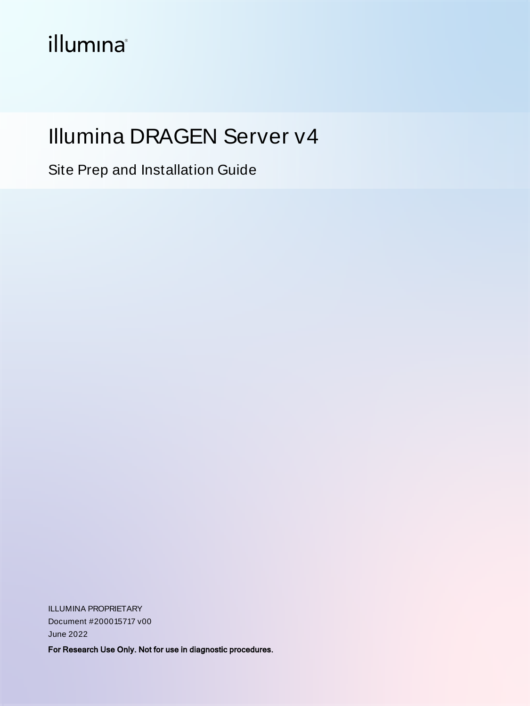# *illumina*<sup>®</sup>

# Illumina DRAGEN Server v4

Site Prep and Installation Guide

ILLUMINA PROPRIETARY Document #200015717 v00 June 2022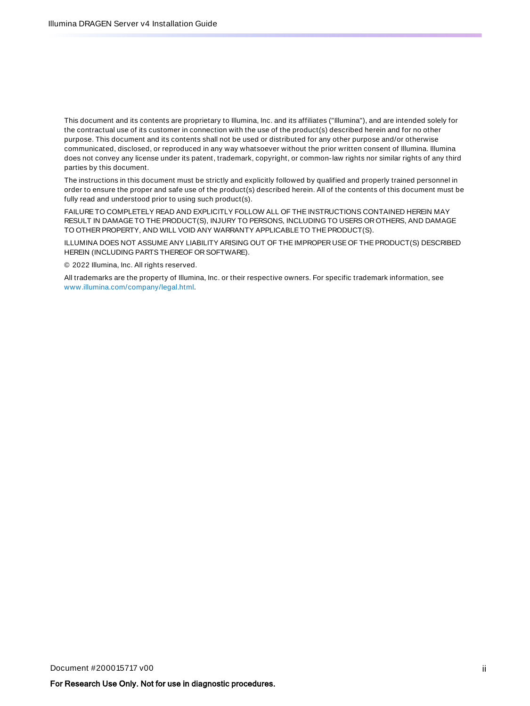This document and its contents are proprietary to Illumina, Inc. and its affiliates ("Illumina"), and are intended solely for the contractual use of its customer in connection with the use of the product(s) described herein and for no other purpose. This document and its contents shall not be used or distributed for any other purpose and/or otherwise communicated, disclosed, or reproduced in any way whatsoever without the prior written consent of Illumina. Illumina does not convey any license under its patent, trademark, copyright, or common-law rights nor similar rights of any third parties by this document.

The instructions in this document must be strictly and explicitly followed by qualified and properly trained personnel in order to ensure the proper and safe use of the product(s) described herein. All of the contents of this document must be fully read and understood prior to using such product(s).

FAILURE TO COMPLETELY READ AND EXPLICITLY FOLLOW ALL OF THE INSTRUCTIONS CONTAINED HEREIN MAY RESULT IN DAMAGE TO THE PRODUCT(S), INJURY TO PERSONS, INCLUDING TO USERS OR OTHERS, AND DAMAGE TO OTHER PROPERTY, AND WILL VOID ANY WARRANTY APPLICABLETO THE PRODUCT(S).

ILLUMINA DOES NOT ASSUMEANY LIABILITY ARISING OUT OF THE IMPROPER USE OF THE PRODUCT(S) DESCRIBED HEREIN (INCLUDING PARTS THEREOF OR SOFTWARE).

© 2022 Illumina, Inc. All rights reserved.

All trademarks are the property of Illumina, Inc. or their respective owners. For specific trademark information, see [www.illumina.com/company/legal.html](http://www.illumina.com/company/legal.html).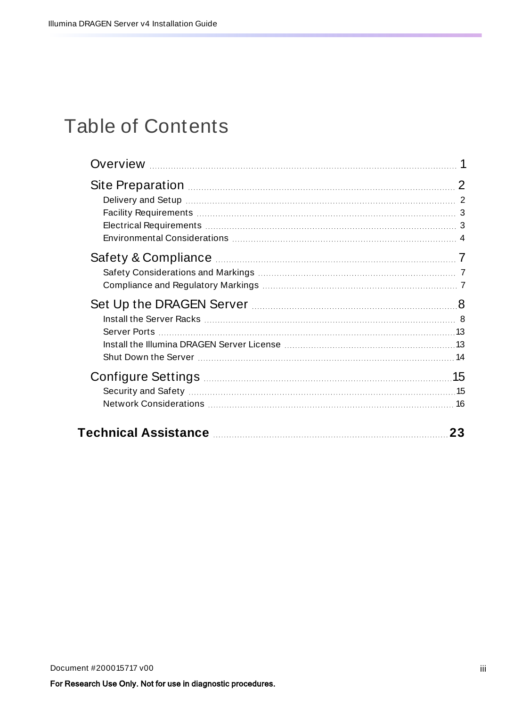# Table of Contents

| Set Up the DRAGEN Server <b>Manual Community</b> 2014 8 |    |
|---------------------------------------------------------|----|
|                                                         |    |
|                                                         | 23 |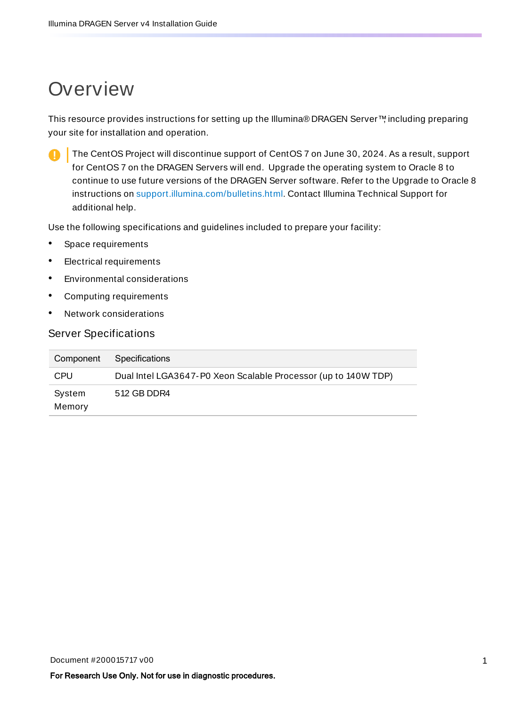## <span id="page-3-0"></span>**Overview**

This resource provides instructions for setting up the Illumina® DRAGEN Server<sup>™</sup>, including preparing your site for installation and operation.

The CentOS Project will discontinue support of CentOS 7 on June 30, 2024. As a result, support for CentOS 7 on the DRAGEN Servers will end. Upgrade the operating system to Oracle 8 to continue to use future versions of the DRAGEN Server software. Refer to the Upgrade to Oracle 8 instructions on [support.illumina.com/bulletins.html](https://support.illumina.com/bulletins.html). Contact Illumina Technical Support for additional help.

Use the following specifications and guidelines included to prepare your facility:

- Space requirements
- Electrical requirements
- Environmental considerations
- Computing requirements
- Network considerations

#### Server Specifications

| Component        | Specifications                                                 |
|------------------|----------------------------------------------------------------|
| <b>CPU</b>       | Dual Intel LGA3647-P0 Xeon Scalable Processor (up to 140W TDP) |
| System<br>Memory | 512 GB DDR4                                                    |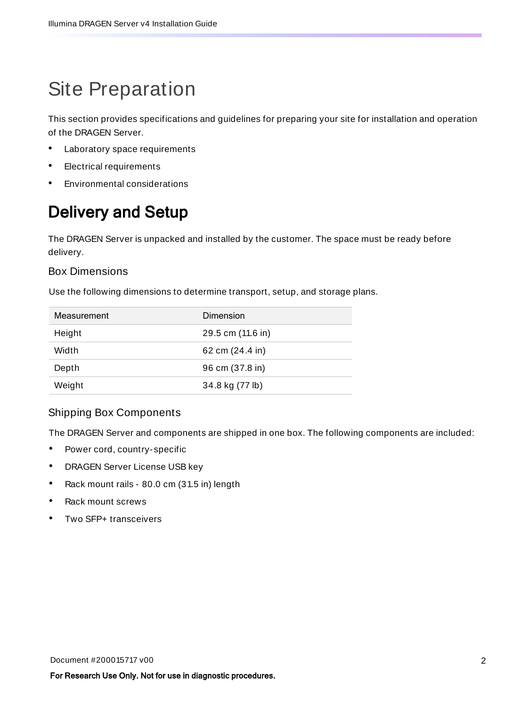# <span id="page-4-0"></span>Site Preparation

This section provides specifications and guidelines for preparing your site for installation and operation of the DRAGEN Server.

- Laboratory space requirements
- **Electrical requirements**
- <span id="page-4-1"></span>• Environmental considerations

## Delivery and Setup

The DRAGEN Server is unpacked and installed by the customer. The space must be ready before delivery.

### Box Dimensions

Use the following dimensions to determine transport, setup, and storage plans.

| Measurement | Dimension         |
|-------------|-------------------|
| Height      | 29.5 cm (11.6 in) |
| Width       | 62 cm (24.4 in)   |
| Depth       | 96 cm (37.8 in)   |
| Weight      | 34.8 kg (77 lb)   |

### Shipping Box Components

The DRAGEN Server and components are shipped in one box. The following components are included:

- Power cord, country- specific
- DRAGEN Server License USB key
- Rack mount rails 80.0 cm (31.5 in) length
- Rack mount screws
- Two SFP+ transceivers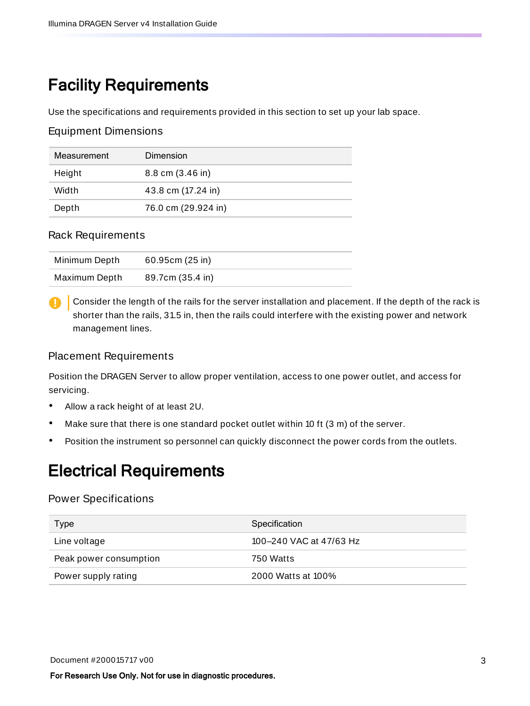## <span id="page-5-0"></span>Facility Requirements

Use the specifications and requirements provided in this section to set up your lab space.

### Equipment Dimensions

| Measurement | Dimension           |
|-------------|---------------------|
| Height      | 8.8 cm (3.46 in)    |
| Width       | 43.8 cm (17.24 in)  |
| Depth       | 76.0 cm (29.924 in) |

### Rack Requirements

| Minimum Depth | 60.95cm(25 in)   |
|---------------|------------------|
| Maximum Depth | 89.7cm (35.4 in) |

Consider the length of the rails for the server installation and placement. If the depth of the rack is shorter than the rails, 31.5 in, then the rails could interfere with the existing power and network management lines.

### Placement Requirements

Position the DRAGEN Server to allow proper ventilation, access to one power outlet, and access for servicing.

- Allow a rack height of at least 2U.
- Make sure that there is one standard pocket outlet within 10 ft (3 m) of the server.
- <span id="page-5-1"></span>• Position the instrument so personnel can quickly disconnect the power cords from the outlets.

### Electrical Requirements

### Power Specifications

| Type                   | Specification           |
|------------------------|-------------------------|
| Line voltage           | 100-240 VAC at 47/63 Hz |
| Peak power consumption | 750 Watts               |
| Power supply rating    | 2000 Watts at 100%      |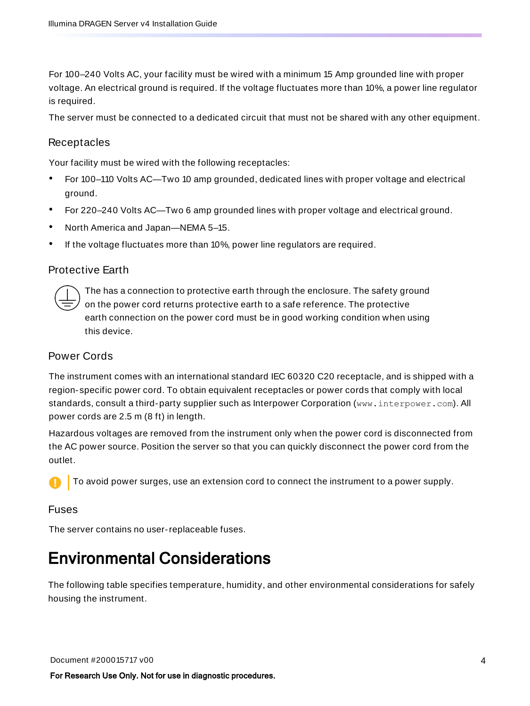For 100–240 Volts AC, your facility must be wired with a minimum 15 Amp grounded line with proper voltage. An electrical ground is required. If the voltage fluctuates more than 10%, a power line regulator is required.

The server must be connected to a dedicated circuit that must not be shared with any other equipment.

### **Receptacles**

Your facility must be wired with the following receptacles:

- For 100–110 Volts AC—Two 10 amp grounded, dedicated lines with proper voltage and electrical ground.
- For 220–240 Volts AC—Two 6 amp grounded lines with proper voltage and electrical ground.
- North America and Japan—NEMA 5–15.
- If the voltage fluctuates more than 10%, power line regulators are required.

### Protective Earth

The has a connection to protective earth through the enclosure. The safety ground on the power cord returns protective earth to a safe reference. The protective earth connection on the power cord must be in good working condition when using this device.

#### Power Cords

The instrument comes with an international standard IEC 60320 C20 receptacle, and is shipped with a region- specific power cord. To obtain equivalent receptacles or power cords that comply with local standards, consult a third-party supplier such as Interpower Corporation (www.interpower.com). All power cords are 2.5 m (8 ft) in length.

Hazardous voltages are removed from the instrument only when the power cord is disconnected from the AC power source. Position the server so that you can quickly disconnect the power cord from the outlet.

To avoid power surges, use an extension cord to connect the instrument to a power supply.

#### Fuses

<span id="page-6-0"></span>The server contains no user-replaceable fuses.

### Environmental Considerations

The following table specifies temperature, humidity, and other environmental considerations for safely housing the instrument.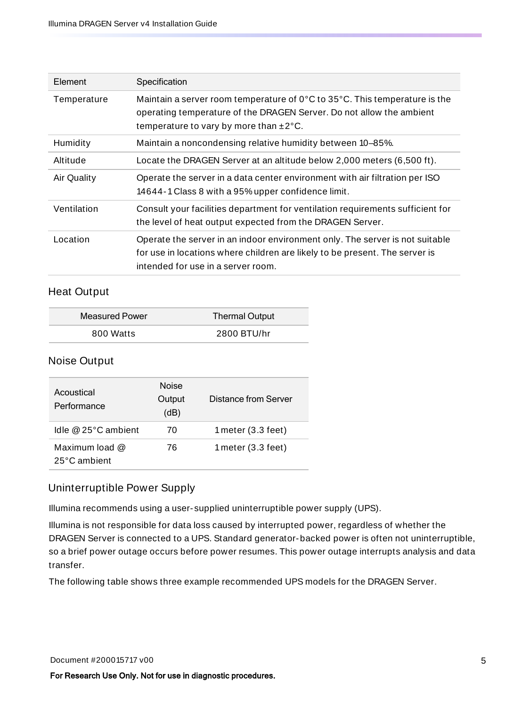| Element            | Specification                                                                                                                                                                                                                  |
|--------------------|--------------------------------------------------------------------------------------------------------------------------------------------------------------------------------------------------------------------------------|
| Temperature        | Maintain a server room temperature of $0^{\circ}$ C to 35 $^{\circ}$ C. This temperature is the<br>operating temperature of the DRAGEN Server. Do not allow the ambient<br>temperature to vary by more than $\pm 2^{\circ}$ C. |
| Humidity           | Maintain a noncondensing relative humidity between 10-85%.                                                                                                                                                                     |
| Altitude           | Locate the DRAGEN Server at an altitude below 2,000 meters (6,500 ft).                                                                                                                                                         |
| <b>Air Quality</b> | Operate the server in a data center environment with air filtration per ISO<br>14644-1 Class 8 with a 95% upper confidence limit.                                                                                              |
| Ventilation        | Consult your facilities department for ventilation requirements sufficient for<br>the level of heat output expected from the DRAGEN Server.                                                                                    |
| Location           | Operate the server in an indoor environment only. The server is not suitable<br>for use in locations where children are likely to be present. The server is<br>intended for use in a server room.                              |

### Heat Output

| <b>Measured Power</b> | <b>Thermal Output</b> |
|-----------------------|-----------------------|
| 800 Watts             | 2800 BTU/hr           |

### Noise Output

| Acoustical<br>Performance        | <b>Noise</b><br>Output<br>(dB) | Distance from Server         |
|----------------------------------|--------------------------------|------------------------------|
| Idle $@25°C$ ambient             | 70                             | 1 meter $(3.3 \text{ feet})$ |
| Maximum load $@$<br>25°C ambient | 76                             | 1 meter $(3.3 \text{ feet})$ |

### Uninterruptible Power Supply

Illumina recommends using a user- supplied uninterruptible power supply (UPS).

Illumina is not responsible for data loss caused by interrupted power, regardless of whether the DRAGEN Server is connected to a UPS. Standard generator-backed power is often not uninterruptible, so a brief power outage occurs before power resumes. This power outage interrupts analysis and data transfer.

The following table shows three example recommended UPS models for the DRAGEN Server.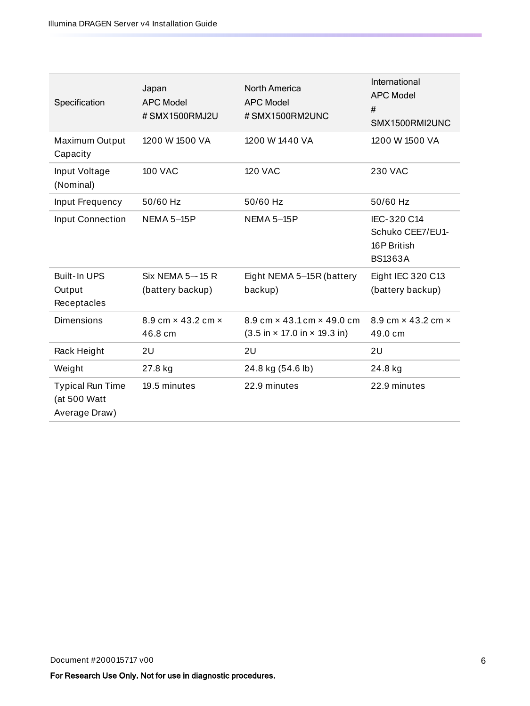| Specification                                            | Japan<br><b>APC Model</b><br># SMX1500RMJ2U | <b>North America</b><br><b>APC Model</b><br>#SMX1500RM2UNC                                                   | International<br><b>APC Model</b><br>#<br>SMX1500RMI2UNC         |
|----------------------------------------------------------|---------------------------------------------|--------------------------------------------------------------------------------------------------------------|------------------------------------------------------------------|
| Maximum Output<br>Capacity                               | 1200 W 1500 VA                              | 1200 W 1440 VA                                                                                               | 1200 W 1500 VA                                                   |
| Input Voltage<br>(Nominal)                               | <b>100 VAC</b>                              | <b>120 VAC</b>                                                                                               | 230 VAC                                                          |
| Input Frequency                                          | 50/60 Hz                                    | 50/60 Hz                                                                                                     | 50/60 Hz                                                         |
| <b>Input Connection</b>                                  | <b>NEMA 5-15P</b>                           | NEMA 5-15P                                                                                                   | IEC-320 C14<br>Schuko CEE7/EU1-<br>16P British<br><b>BS1363A</b> |
| Built-In UPS<br>Output<br>Receptacles                    | Six NEMA 5-15 R<br>(battery backup)         | Eight NEMA 5-15R (battery<br>backup)                                                                         | Eight IEC 320 C13<br>(battery backup)                            |
| <b>Dimensions</b>                                        | 8.9 cm $\times$ 43.2 cm $\times$<br>46.8 cm | 8.9 cm $\times$ 43.1 cm $\times$ 49.0 cm<br>$(3.5 \text{ in} \times 17.0 \text{ in} \times 19.3 \text{ in})$ | $8.9 \text{ cm} \times 43.2 \text{ cm} \times$<br>49.0 cm        |
| Rack Height                                              | 2U                                          | 2U                                                                                                           | 2U                                                               |
| Weight                                                   | 27.8 kg                                     | 24.8 kg (54.6 lb)                                                                                            | 24.8 kg                                                          |
| <b>Typical Run Time</b><br>(at 500 Watt<br>Average Draw) | 19.5 minutes                                | 22.9 minutes                                                                                                 | 22.9 minutes                                                     |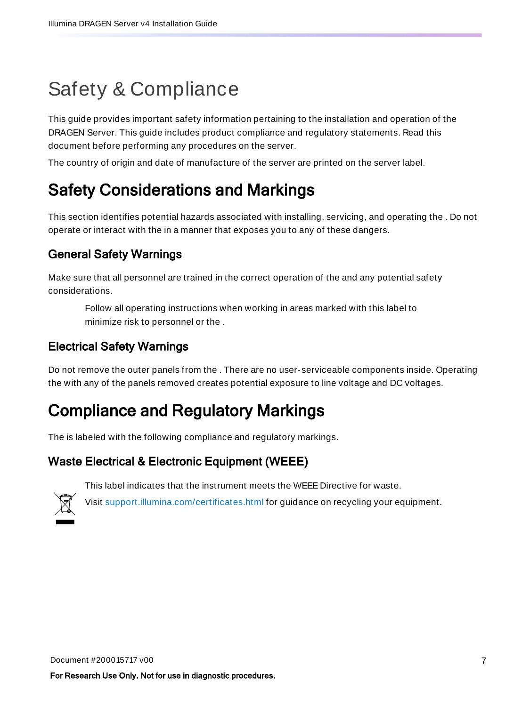# <span id="page-9-0"></span>Safety & Compliance

This guide provides important safety information pertaining to the installation and operation of the DRAGEN Server. This guide includes product compliance and regulatory statements. Read this document before performing any procedures on the server.

<span id="page-9-1"></span>The country of origin and date of manufacture of the server are printed on the server label.

## Safety Considerations and Markings

This section identifies potential hazards associated with installing, servicing, and operating the . Do not operate or interact with the in a manner that exposes you to any of these dangers.

### General Safety Warnings

Make sure that all personnel are trained in the correct operation of the and any potential safety considerations.

Follow all operating instructions when working in areas marked with this label to minimize risk to personnel or the .

### Electrical Safety Warnings

<span id="page-9-2"></span>Do not remove the outer panels from the . There are no user- serviceable components inside. Operating the with any of the panels removed creates potential exposure to line voltage and DC voltages.

## Compliance and Regulatory Markings

The is labeled with the following compliance and regulatory markings.

### Waste Electrical & Electronic Equipment (WEEE)

This label indicates that the instrument meets the WEEE Directive for waste.



Visit [support.illumina.com/certificates.html](http://support.illumina.com/certificates.html) for guidance on recycling your equipment.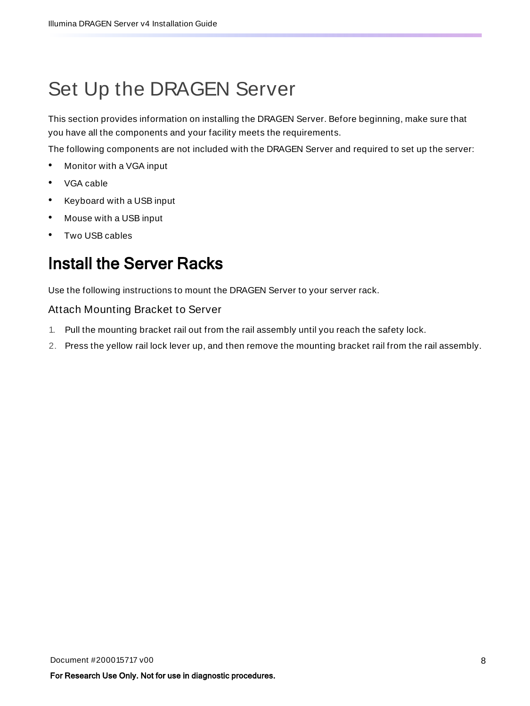# <span id="page-10-0"></span>Set Up the DRAGEN Server

This section provides information on installing the DRAGEN Server. Before beginning, make sure that you have all the components and your facility meets the requirements.

The following components are not included with the DRAGEN Server and required to set up the server:

- Monitor with a VGA input
- VGA cable
- Keyboard with a USB input
- Mouse with a USB input
- <span id="page-10-1"></span>• Two USB cables

## Install the Server Racks

Use the following instructions to mount the DRAGEN Server to your server rack.

#### Attach Mounting Bracket to Server

- 1. Pull the mounting bracket rail out from the rail assembly until you reach the safety lock.
- 2. Press the yellow rail lock lever up, and then remove the mounting bracket rail from the rail assembly.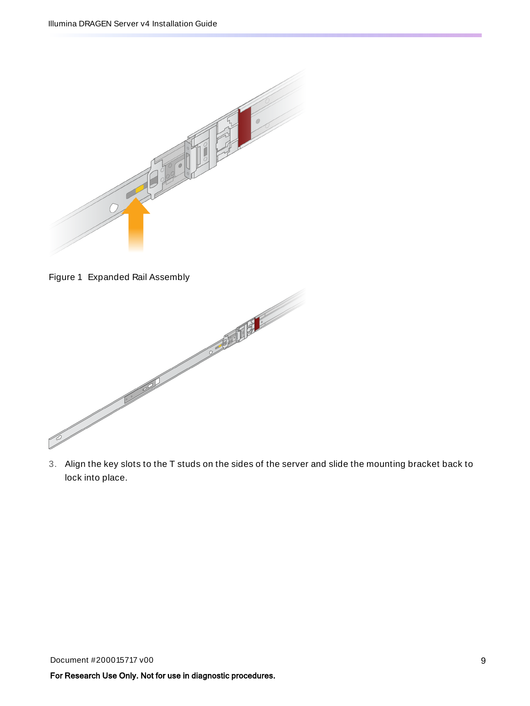

Figure 1 Expanded Rail Assembly



3. Align the key slots to the T studs on the sides of the server and slide the mounting bracket back to lock into place.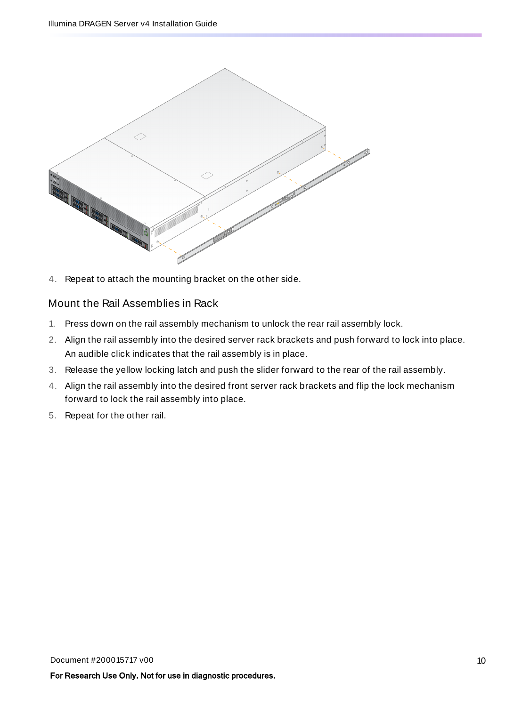

4. Repeat to attach the mounting bracket on the other side.

### Mount the Rail Assemblies in Rack

- 1. Press down on the rail assembly mechanism to unlock the rear rail assembly lock.
- 2. Align the rail assembly into the desired server rack brackets and push forward to lock into place. An audible click indicates that the rail assembly is in place.
- 3. Release the yellow locking latch and push the slider forward to the rear of the rail assembly.
- 4. Align the rail assembly into the desired front server rack brackets and flip the lock mechanism forward to lock the rail assembly into place.
- 5. Repeat for the other rail.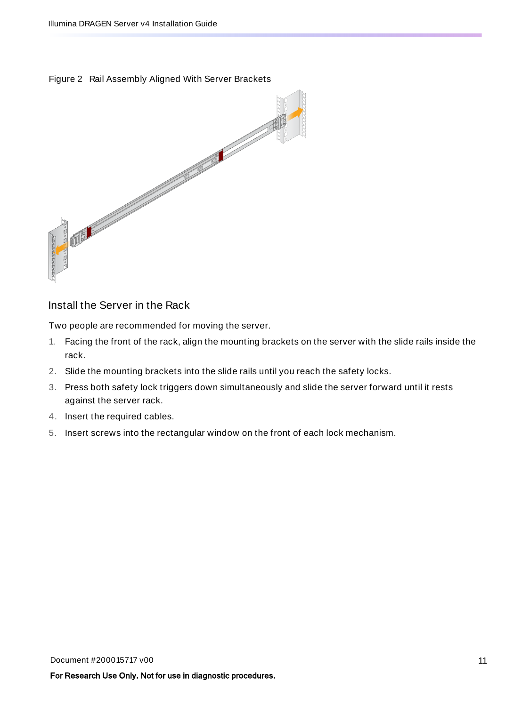Figure 2 Rail Assembly Aligned With Server Brackets



### Install the Server in the Rack

Two people are recommended for moving the server.

- 1. Facing the front of the rack, align the mounting brackets on the server with the slide rails inside the rack.
- 2. Slide the mounting brackets into the slide rails until you reach the safety locks.
- 3. Press both safety lock triggers down simultaneously and slide the server forward until it rests against the server rack.
- 4. Insert the required cables.
- 5. Insert screws into the rectangular window on the front of each lock mechanism.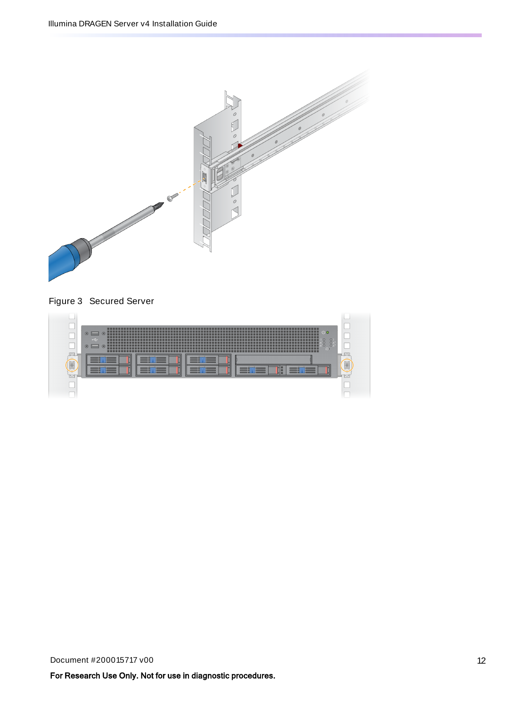

Figure 3 Secured Server

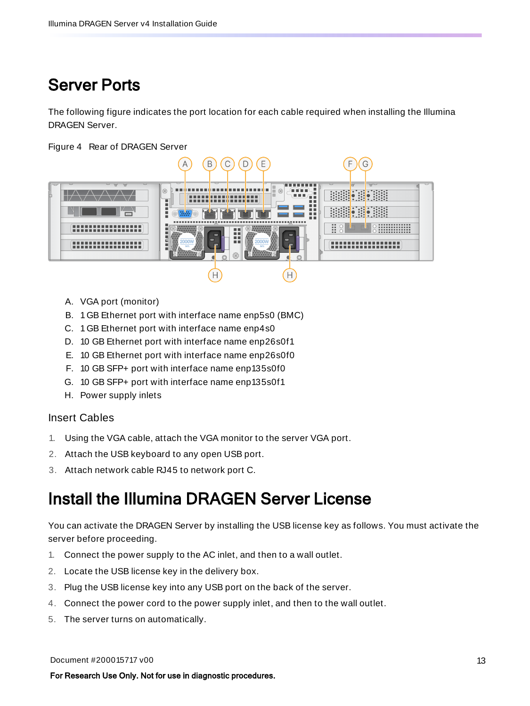## <span id="page-15-0"></span>Server Ports

The following figure indicates the port location for each cable required when installing the Illumina DRAGEN Server.

Figure 4 Rear of DRAGEN Server



- A. VGA port (monitor)
- B. 1GB Ethernet port with interface name enp5s0 (BMC)
- C. 1GB Ethernet port with interface name enp4s0
- D. 10 GB Ethernet port with interface name enp26s0f1
- E. 10 GB Ethernet port with interface name enp26s0f0
- F. 10 GB SFP+ port with interface name enp135s0f0
- G. 10 GB SFP+ port with interface name enp135s0f1
- H. Power supply inlets

### Insert Cables

- 1. Using the VGA cable, attach the VGA monitor to the server VGA port.
- 2. Attach the USB keyboard to any open USB port.
- <span id="page-15-1"></span>3. Attach network cable RJ45 to network port C.

### Install the Illumina DRAGEN Server License

You can activate the DRAGEN Server by installing the USB license key as follows. You must activate the server before proceeding.

- 1. Connect the power supply to the AC inlet, and then to a wall outlet.
- 2. Locate the USB license key in the delivery box.
- 3. Plug the USB license key into any USB port on the back of the server.
- 4. Connect the power cord to the power supply inlet, and then to the wall outlet.
- 5. The server turns on automatically.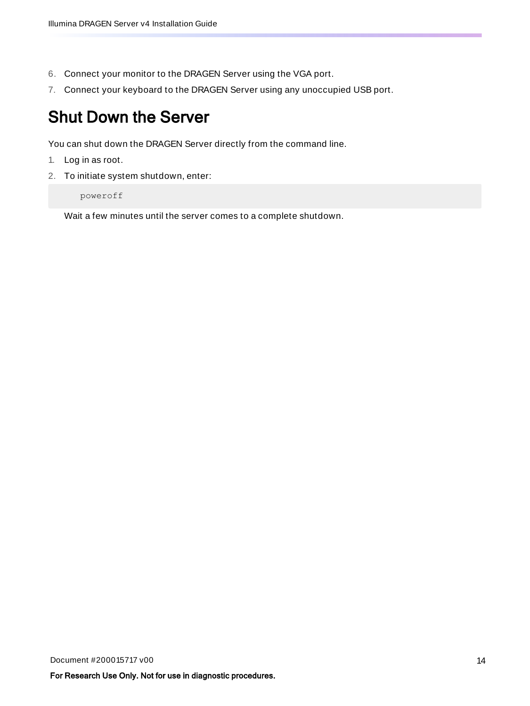- 6. Connect your monitor to the DRAGEN Server using the VGA port.
- <span id="page-16-0"></span>7. Connect your keyboard to the DRAGEN Server using any unoccupied USB port.

## Shut Down the Server

You can shut down the DRAGEN Server directly from the command line.

- 1. Log in as root.
- 2. To initiate system shutdown, enter:

poweroff

Wait a few minutes until the server comes to a complete shutdown.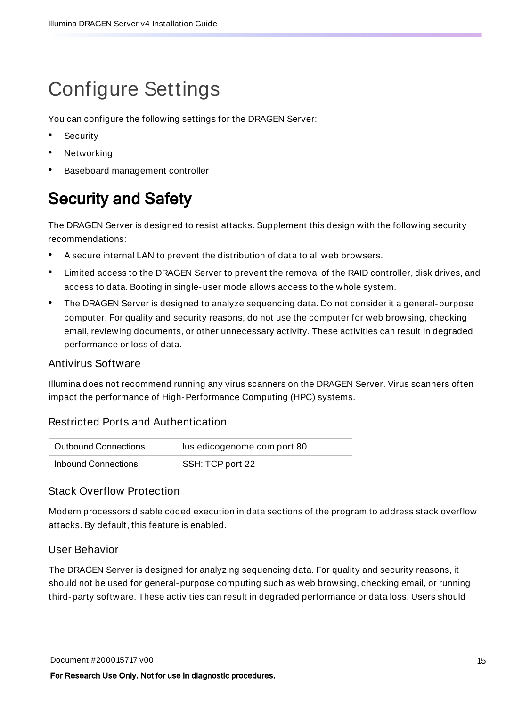# <span id="page-17-0"></span>Configure Settings

You can configure the following settings for the DRAGEN Server:

- **Security**
- **Networking**
- <span id="page-17-1"></span>• Baseboard management controller

## Security and Safety

The DRAGEN Server is designed to resist attacks. Supplement this design with the following security recommendations:

- A secure internal LAN to prevent the distribution of data to all web browsers.
- Limited access to the DRAGEN Server to prevent the removal of the RAID controller, disk drives, and access to data. Booting in single-user mode allows access to the whole system.
- The DRAGEN Server is designed to analyze sequencing data. Do not consider it a general-purpose computer. For quality and security reasons, do not use the computer for web browsing, checking email, reviewing documents, or other unnecessary activity. These activities can result in degraded performance or loss of data.

### Antivirus Software

Illumina does not recommend running any virus scanners on the DRAGEN Server. Virus scanners often impact the performance of High-Performance Computing (HPC) systems.

### Restricted Ports and Authentication

| Outbound Connections | lus.edicogenome.com port 80 |
|----------------------|-----------------------------|
| Inbound Connections  | SSH: TCP port 22            |

### Stack Overflow Protection

Modern processors disable coded execution in data sections of the program to address stack overflow attacks. By default, this feature is enabled.

### User Behavior

The DRAGEN Server is designed for analyzing sequencing data. For quality and security reasons, it should not be used for general-purpose computing such as web browsing, checking email, or running third-party software. These activities can result in degraded performance or data loss. Users should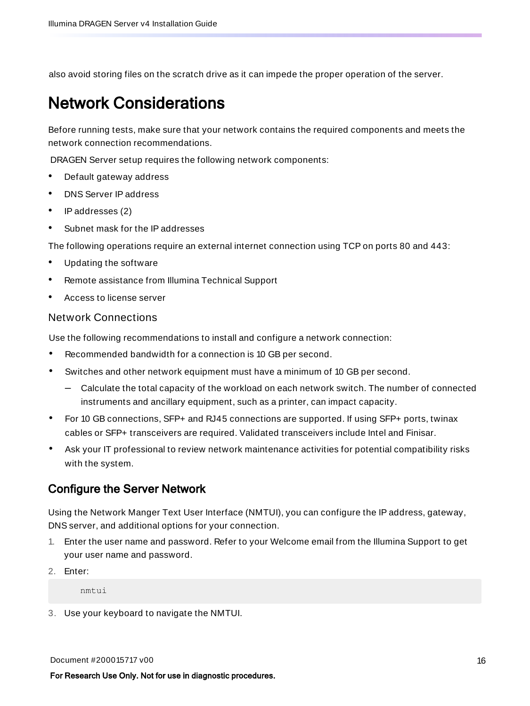<span id="page-18-0"></span>also avoid storing files on the scratch drive as it can impede the proper operation of the server.

### Network Considerations

Before running tests, make sure that your network contains the required components and meets the network connection recommendations.

DRAGEN Server setup requires the following network components:

- Default gateway address
- DNS Server IP address
- IP addresses (2)
- Subnet mask for the IP addresses

The following operations require an external internet connection using TCP on ports 80 and 443:

- Updating the software
- Remote assistance from Illumina Technical Support
- Access to license server

#### Network Connections

Use the following recommendations to install and configure a network connection:

- Recommended bandwidth for a connection is 10 GB per second.
- Switches and other network equipment must have a minimum of 10 GB per second.
	- Calculate the total capacity of the workload on each network switch. The number of connected instruments and ancillary equipment, such as a printer, can impact capacity.
- For 10 GB connections, SFP+ and RJ45 connections are supported. If using SFP+ ports, twinax cables or SFP+ transceivers are required. Validated transceivers include Intel and Finisar.
- Ask your IT professional to review network maintenance activities for potential compatibility risks with the system.

### Configure the Server Network

Using the Network Manger Text User Interface (NMTUI), you can configure the IP address, gateway, DNS server, and additional options for your connection.

- 1. Enter the user name and password. Refer to your Welcome email from the Illumina Support to get your user name and password.
- 2. Enter:

nmtui

3. Use your keyboard to navigate the NMTUI.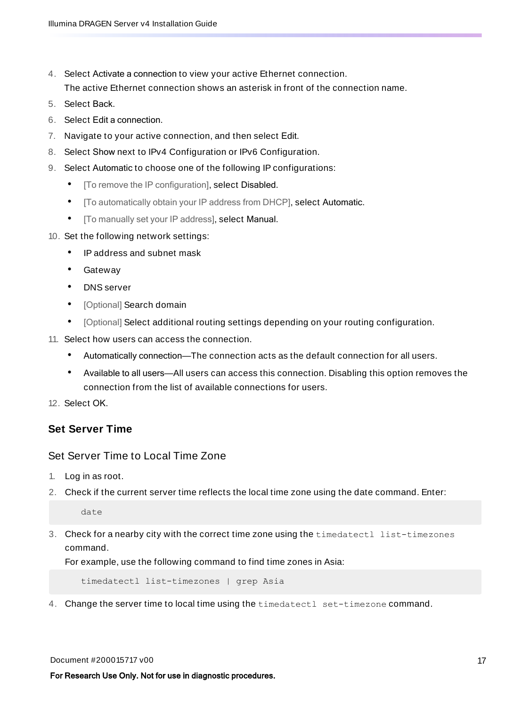- 4. Select Activate a connection to view your active Ethernet connection. The active Ethernet connection shows an asterisk in front of the connection name.
- 5. Select Back.
- 6. Select Edit a connection.
- 7. Navigate to your active connection, and then select Edit.
- 8. Select Show next to IPv4 Configuration or IPv6 Configuration.
- 9. Select Automatic to choose one of the following IP configurations:
	- [To remove the IP configuration], select Disabled.
	- [To automatically obtain your IP address from DHCP], select Automatic.
	- [To manually set your IP address], select Manual.
- 10. Set the following network settings:
	- IP address and subnet mask
	- Gateway
	- DNS server
	- [Optional] Search domain
	- [Optional] Select additional routing settings depending on your routing configuration.
- 11. Select how users can access the connection.
	- Automatically connection—The connection acts as the default connection for all users.
	- Available to all users—All users can access this connection. Disabling this option removes the connection from the list of available connections for users.

12. Select OK.

### **Set Server Time**

### Set Server Time to Local Time Zone

- 1. Log in as root.
- 2. Check if the current server time reflects the local time zone using the date command. Enter:

date

3. Check for a nearby city with the correct time zone using the timedatectl list-timezones command.

For example, use the following command to find time zones in Asia:

timedatectl list-timezones | grep Asia

4. Change the server time to local time using the timedatectl set-timezone command.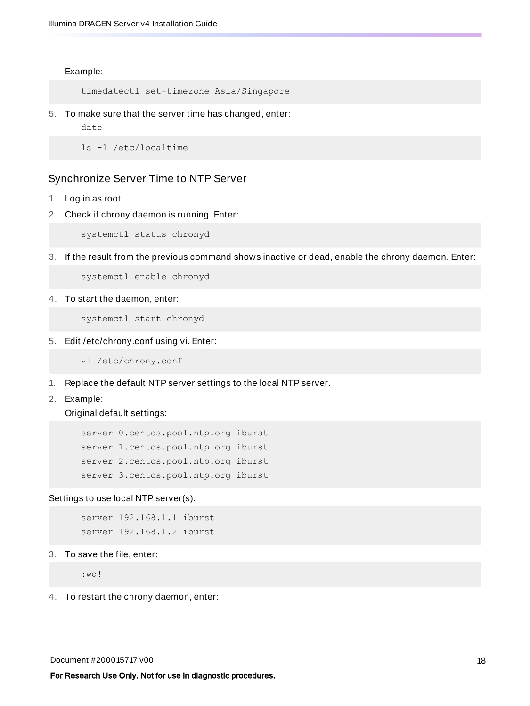Example:

timedatectl set-timezone Asia/Singapore

5. To make sure that the server time has changed, enter:

date

ls -l /etc/localtime

#### Synchronize Server Time to NTP Server

- 1. Log in as root.
- 2. Check if chrony daemon is running. Enter:

systemctl status chronyd

3. If the result from the previous command shows inactive or dead, enable the chrony daemon. Enter:

systemctl enable chronyd

4. To start the daemon, enter:

systemctl start chronyd

5. Edit /etc/chrony.conf using vi. Enter:

vi /etc/chrony.conf

- 1. Replace the default NTP server settings to the local NTP server.
- 2. Example:

Original default settings:

server 0.centos.pool.ntp.org iburst server 1.centos.pool.ntp.org iburst server 2.centos.pool.ntp.org iburst server 3.centos.pool.ntp.org iburst

Settings to use local NTP server(s):

server 192.168.1.1 iburst server 192.168.1.2 iburst

3. To save the file, enter:

:wq!

4. To restart the chrony daemon, enter: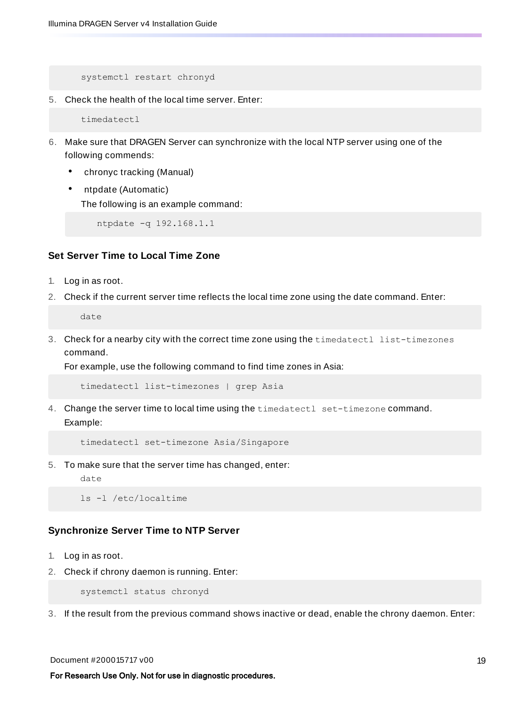systemctl restart chronyd

5. Check the health of the local time server. Enter:

timedatectl

- 6. Make sure that DRAGEN Server can synchronize with the local NTP server using one of the following commends:
	- chronyc tracking (Manual)
	- ntpdate (Automatic)

The following is an example command:

ntpdate -q 192.168.1.1

### **Set Server Time to Local Time Zone**

- 1. Log in as root.
- 2. Check if the current server time reflects the local time zone using the date command. Enter:

date

3. Check for a nearby city with the correct time zone using the timedatectl list-timezones command.

For example, use the following command to find time zones in Asia:

timedatectl list-timezones | grep Asia

4. Change the server time to local time using the timedatectl set-timezone command. Example:

timedatectl set-timezone Asia/Singapore

- 5. To make sure that the server time has changed, enter:
	- date

ls -l /etc/localtime

#### **Synchronize Server Time to NTP Server**

- 1. Log in as root.
- 2. Check if chrony daemon is running. Enter:

systemctl status chronyd

3. If the result from the previous command shows inactive or dead, enable the chrony daemon. Enter: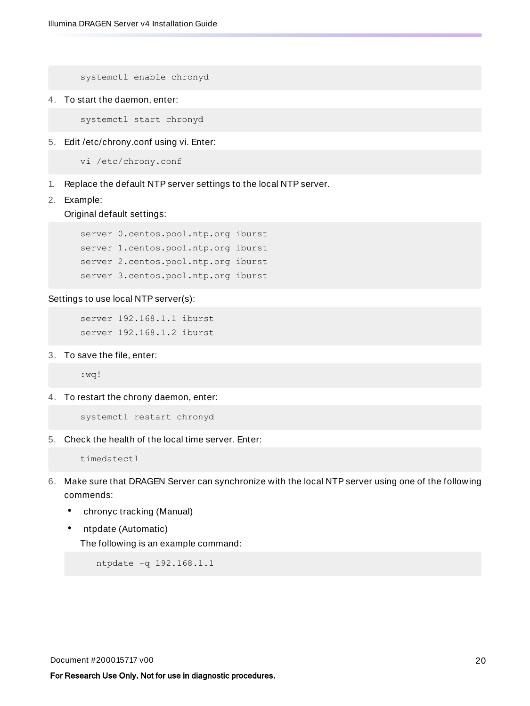systemctl enable chronyd

4. To start the daemon, enter:

systemctl start chronyd

5. Edit /etc/chrony.conf using vi. Enter:

vi /etc/chrony.conf

- 1. Replace the default NTP server settings to the local NTP server.
- 2. Example:

Original default settings:

server 0.centos.pool.ntp.org iburst server 1.centos.pool.ntp.org iburst server 2.centos.pool.ntp.org iburst server 3.centos.pool.ntp.org iburst

Settings to use local NTP server(s):

server 192.168.1.1 iburst server 192.168.1.2 iburst

3. To save the file, enter:

:wq!

4. To restart the chrony daemon, enter:

systemctl restart chronyd

5. Check the health of the local time server. Enter:

timedatectl

- 6. Make sure that DRAGEN Server can synchronize with the local NTP server using one of the following commends:
	- chronyc tracking (Manual)
	- ntpdate (Automatic)

The following is an example command:

ntpdate -q 192.168.1.1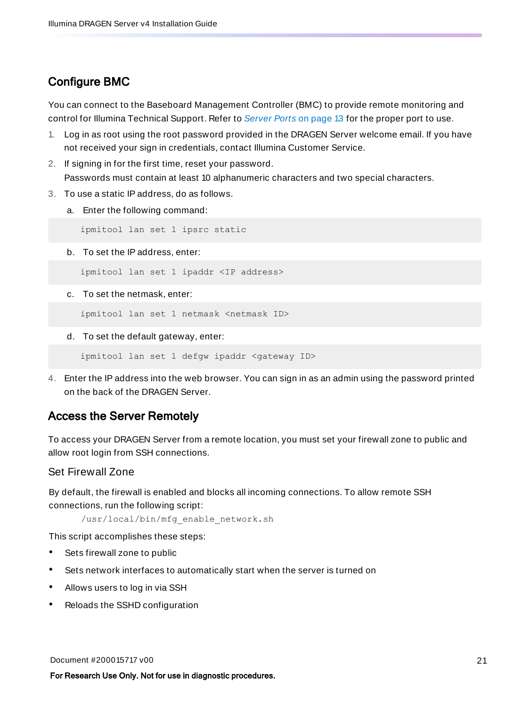### Configure BMC

You can connect to the Baseboard Management Controller (BMC) to provide remote monitoring and control for Illumina Technical Support. Refer to [Server](#page-15-0) Ports on page 13 for the proper port to use.

- 1. Log in as root using the root password provided in the DRAGEN Server welcome email. If you have not received your sign in credentials, contact Illumina Customer Service.
- 2. If signing in for the first time, reset your password. Passwords must contain at least 10 alphanumeric characters and two special characters.
- 3. To use a static IP address, do as follows.
	- a. Enter the following command:

ipmitool lan set 1 ipsrc static

b. To set the IP address, enter:

ipmitool lan set 1 ipaddr <IP address>

c. To set the netmask, enter:

ipmitool lan set 1 netmask <netmask ID>

d. To set the default gateway, enter:

ipmitool lan set 1 defgw ipaddr <gateway ID>

4. Enter the IP address into the web browser. You can sign in as an admin using the password printed on the back of the DRAGEN Server.

### Access the Server Remotely

To access your DRAGEN Server from a remote location, you must set your firewall zone to public and allow root login from SSH connections.

#### Set Firewall Zone

By default, the firewall is enabled and blocks all incoming connections. To allow remote SSH connections, run the following script:

/usr/local/bin/mfg\_enable\_network.sh

This script accomplishes these steps:

- Sets firewall zone to public
- Sets network interfaces to automatically start when the server is turned on
- Allows users to log in via SSH
- Reloads the SSHD configuration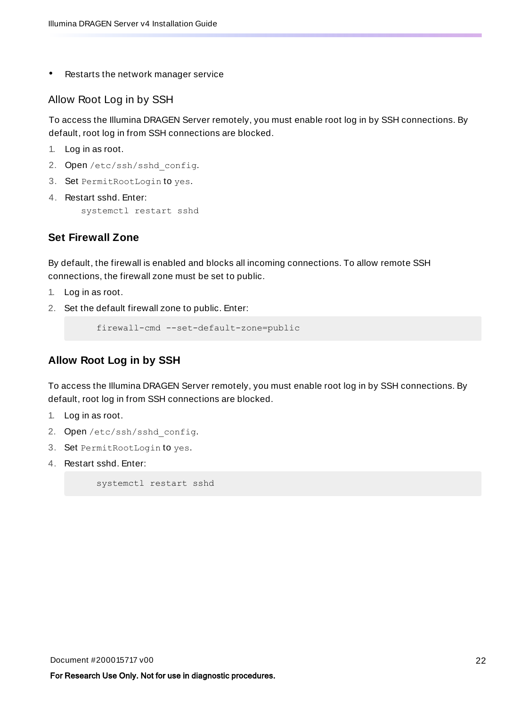Restarts the network manager service

#### Allow Root Log in by SSH

To access the Illumina DRAGEN Server remotely, you must enable root log in by SSH connections. By default, root log in from SSH connections are blocked.

- 1. Log in as root.
- 2. Open/etc/ssh/sshd config.
- 3. Set PermitRootLogin to yes.
- 4. Restart sshd. Enter:

systemctl restart sshd

### **Set Firewall Zone**

By default, the firewall is enabled and blocks all incoming connections. To allow remote SSH connections, the firewall zone must be set to public.

- 1. Log in as root.
- 2. Set the default firewall zone to public. Enter:

firewall-cmd --set-default-zone=public

### **Allow Root Log in by SSH**

To access the Illumina DRAGEN Server remotely, you must enable root log in by SSH connections. By default, root log in from SSH connections are blocked.

- 1. Log in as root.
- 2. Open/etc/ssh/sshd config.
- 3. Set PermitRootLogin to yes.
- 4. Restart sshd. Enter:

systemctl restart sshd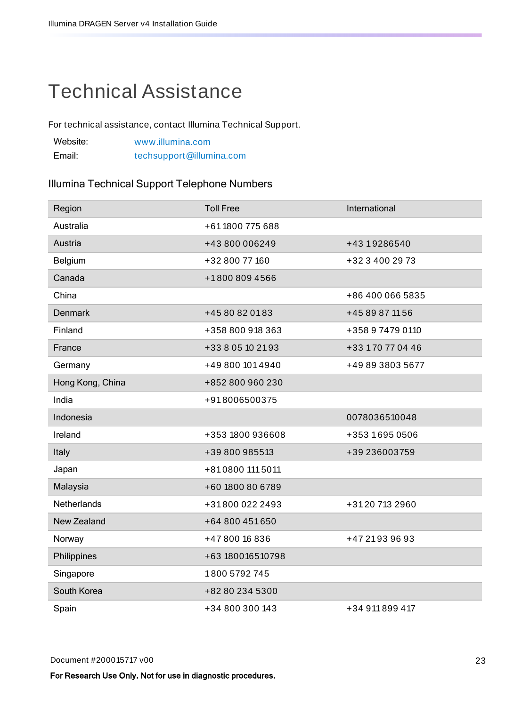## <span id="page-25-0"></span>Technical Assistance

For technical assistance, contact Illumina Technical Support.

| Website: | www.illumina.com         |
|----------|--------------------------|
| Email:   | techsupport@illumina.com |

### Illumina Technical Support Telephone Numbers

| Region           | <b>Toll Free</b>  | International    |
|------------------|-------------------|------------------|
| Australia        | +61 1800 775 688  |                  |
| Austria          | +43 800 006249    | +43 19286540     |
| Belgium          | +32 800 77 160    | +32 3 400 29 73  |
| Canada           | +1800 809 4566    |                  |
| China            |                   | +86 400 066 5835 |
| <b>Denmark</b>   | +45 80 82 01 83   | +45 89 87 11 56  |
| Finland          | +358 800 918 363  | +358 9 7479 0110 |
| France           | +33 8 05 10 21 93 | +33 170 77 04 46 |
| Germany          | +49 800 101 4940  | +49 89 3803 5677 |
| Hong Kong, China | +852 800 960 230  |                  |
| India            | +918006500375     |                  |
| Indonesia        |                   | 0078036510048    |
| Ireland          | +353 1800 936608  | +353 1695 0506   |
| Italy            | +39 800 985513    | +39 236003759    |
| Japan            | +810800 1115011   |                  |
| Malaysia         | +60 1800 80 6789  |                  |
| Netherlands      | +318000222493     | +3120 713 2960   |
| New Zealand      | +64 800 451 650   |                  |
| Norway           | +47800 16836      | +47 21 93 96 93  |
| Philippines      | +63 180016510798  |                  |
|                  |                   |                  |
| Singapore        | 1800 5792 745     |                  |
| South Korea      | +82 80 234 5300   |                  |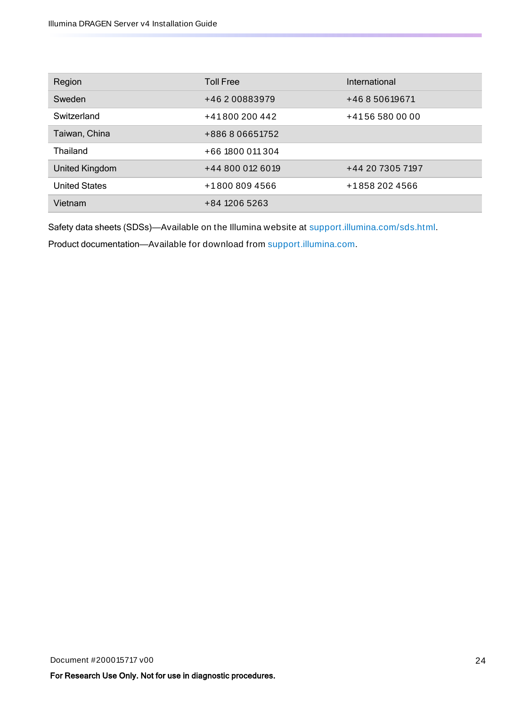| Region               | <b>Toll Free</b> | International    |
|----------------------|------------------|------------------|
| Sweden               | +46 2 00883979   | +46850619671     |
| Switzerland          | +41800200442     | +41565800000     |
| Taiwan, China        | +886806651752    |                  |
| Thailand             | +66 1800 011 304 |                  |
| United Kingdom       | +44 800 012 6019 | +44 20 7305 7197 |
| <b>United States</b> | +18008094566     | +1858 202 4566   |
| Vietnam              | +84 1206 5263    |                  |

Safety data sheets (SDSs)—Available on the Illumina website at [support.illumina.com/sds.html](http://support.illumina.com/sds.html).

Product documentation—Available for download from [support.illumina.com](https://support.illumina.com/).